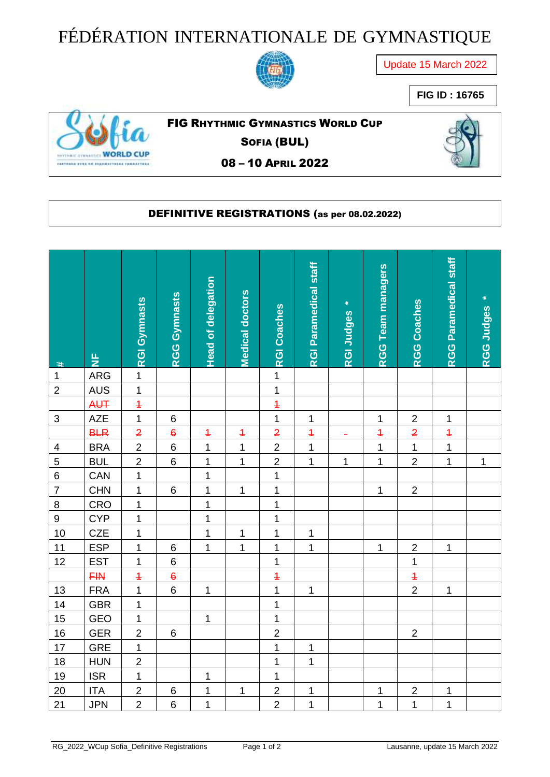## FÉDÉRATION INTERNATIONALE DE GYMNASTIQUE



Update 15 March 2022

**FIG ID : 16765**



## FIG RHYTHMIC GYMNASTICS WORLD CUP

SOFIA (BUL)

08 – 10 APRIL 2022

## DEFINITIVE REGISTRATIONS (as per 08.02.2022)

| $\ast$                    | $\frac{\mu}{Z}$ | <b>RGI Gymnasts</b> | <b>RGG Gymnasts</b> | <b>Head of delegation</b> | Medical doctors | <b>RGI Coaches</b>      | <b>RGI Paramedical staff</b> | ×<br>RGI Judges | <b>RGG Team managers</b> | RGG Coaches             | RGG Paramedical staff | $\ast$<br>RGG Judges |
|---------------------------|-----------------|---------------------|---------------------|---------------------------|-----------------|-------------------------|------------------------------|-----------------|--------------------------|-------------------------|-----------------------|----------------------|
| $\mathbf 1$               | <b>ARG</b>      | $\mathbf 1$         |                     |                           |                 | $\overline{1}$          |                              |                 |                          |                         |                       |                      |
| $\mathbf 2$               | AUS             | $\overline{1}$      |                     |                           |                 | $\overline{1}$          |                              |                 |                          |                         |                       |                      |
|                           | AUT             | $\overline{1}$      |                     |                           |                 | $\overline{1}$          |                              |                 |                          |                         |                       |                      |
| $\ensuremath{\mathsf{3}}$ | <b>AZE</b>      | $\mathbf{1}$        | $\,6$               |                           |                 | $\overline{1}$          | $\mathbf 1$                  |                 | 1                        | $\sqrt{2}$              | 1                     |                      |
|                           | <b>BLR</b>      | $\overline{2}$      | $\ddot{\theta}$     | $\overline{1}$            | $\overline{1}$  | $\overline{2}$          | $\overline{1}$               | ÷               | $\overline{1}$           | $\overline{2}$          | $\overline{1}$        |                      |
| 4                         | <b>BRA</b>      | $\overline{2}$      | $\,6$               | $\overline{1}$            | $\mathbf{1}$    | $\overline{2}$          | $\overline{1}$               |                 | $\overline{1}$           | $\mathbf{1}$            | $\mathbf 1$           |                      |
| 5                         | <b>BUL</b>      | $\overline{2}$      | $6\phantom{1}$      | $\mathbf{1}$              | $\mathbf{1}$    | $\overline{c}$          | $\mathbf 1$                  | 1               | 1                        | $\overline{2}$          | $\mathbf 1$           | $\mathbf 1$          |
| $\,6$                     | CAN             | $\overline{1}$      |                     | $\mathbf 1$               |                 | $\mathbf 1$             |                              |                 |                          |                         |                       |                      |
| $\overline{7}$            | <b>CHN</b>      | $\overline{1}$      | $6\phantom{a}$      | $\overline{1}$            | $\overline{1}$  | $\overline{\mathbf{1}}$ |                              |                 | $\mathbf 1$              | $\overline{2}$          |                       |                      |
| 8                         | CRO             | $\mathbf{1}$        |                     | $\mathbf 1$               |                 | $\mathbf 1$             |                              |                 |                          |                         |                       |                      |
| $\boldsymbol{9}$          | <b>CYP</b>      | $\mathbf 1$         |                     | $\mathbf 1$               |                 | $\overline{1}$          |                              |                 |                          |                         |                       |                      |
| 10                        | <b>CZE</b>      | $\mathbf 1$         |                     | $\mathbf 1$               | $\mathbf 1$     | $\mathbf{1}$            | 1                            |                 |                          |                         |                       |                      |
| 11                        | <b>ESP</b>      | $\mathbf 1$         | 6                   | $\overline{1}$            | $\mathbf 1$     | $\mathbf 1$             | $\mathbf 1$                  |                 | 1                        | $\overline{c}$          | 1                     |                      |
| 12                        | <b>EST</b>      | $\overline{1}$      | $6\phantom{1}$      |                           |                 | $\mathbf{1}$            |                              |                 |                          | $\mathbf 1$             |                       |                      |
|                           | FIN             | $\overline{1}$      | $\ddot{\theta}$     |                           |                 | $\overline{1}$          |                              |                 |                          | $\overline{1}$          |                       |                      |
| 13                        | <b>FRA</b>      | $\mathbf{1}$        | $\,6$               | $\mathbf 1$               |                 | $\overline{1}$          | $\mathbf 1$                  |                 |                          | $\overline{2}$          | 1                     |                      |
| 14                        | <b>GBR</b>      | $\mathbf{1}$        |                     |                           |                 | $\overline{1}$          |                              |                 |                          |                         |                       |                      |
| 15                        | GEO             | $\mathbf 1$         |                     | $\mathbf{1}$              |                 | $\mathbf 1$             |                              |                 |                          |                         |                       |                      |
| 16                        | <b>GER</b>      | $\overline{2}$      | $\,6$               |                           |                 | $\overline{2}$          |                              |                 |                          | $\overline{2}$          |                       |                      |
| 17                        | <b>GRE</b>      | $\mathbf{1}$        |                     |                           |                 | $\overline{1}$          | $\mathbf 1$                  |                 |                          |                         |                       |                      |
| 18                        | <b>HUN</b>      | $\overline{2}$      |                     |                           |                 | $\mathbf{1}$            | $\mathbf{1}$                 |                 |                          |                         |                       |                      |
| 19                        | <b>ISR</b>      | $\overline{1}$      |                     | $\mathbf 1$               |                 | $\mathbf 1$             |                              |                 |                          |                         |                       |                      |
| 20                        | <b>ITA</b>      | $\overline{c}$      | 6                   | 1                         | 1               | $\overline{c}$          | 1                            |                 | 1                        | $\overline{\mathbf{c}}$ | 1                     |                      |
| 21                        | <b>JPN</b>      | $\overline{2}$      | 6                   | $\mathbf 1$               |                 | $\overline{2}$          | $\mathbf 1$                  |                 | $\mathbf 1$              | $\mathbf 1$             | $\mathbf 1$           |                      |